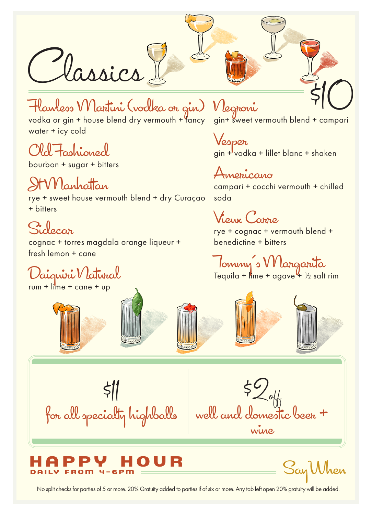Classics & Compari<br>
Hawless Wartini (vodka on give) Wegnoni<br>
vodka or gin + house blend dry vermouth + fancy gin+ sweet vermouth blend + campari

# Flawless Martini (vodka or gin)

vodka or gin + house blend dry vermouth + fancy water + icy cold

#### Old Fashioned

bourbon + sugar + bitters

### Jt Manhattan

rye + sweet house vermouth blend + dry Curaçao + bitters

### Sidecar

cognac + torres magdala orange liqueur + fresh lemon + cane

# Daiquiri Natural

 $rum + lime + cane + up$ 





Negroni

Vesper  $gin + vodka + lillet blanc + shaken$ 

Americano campari + cocchi vermouth + chilled soda

Vieux Carre

rye + cognac + vermouth blend + benedictine + bitters

Tommy's Margarita Tequila + lime + agave 4 ½ salt rim





\$11 for all specialty highballs

 $$2_{\rm off}\atop\sim}$ well and domestic beer + wine

#### 0 U R  $4 - 6$ PM

SayWhen

No split checks for parties of 5 or more. 20% Gratuity added to parties if of six or more. Any tab left open 20% gratuity will be added.